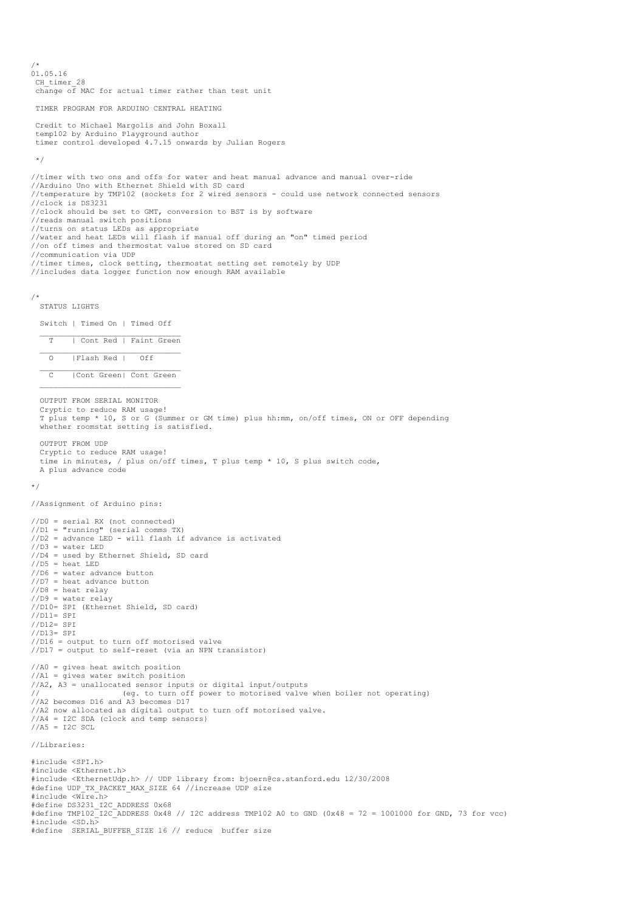/\* 01.05.16 CH timer 28 change of MAC for actual timer rather than test unit TIMER PROGRAM FOR ARDUINO CENTRAL HEATING Credit to Michael Margolis and John Boxall temp102 by Arduino Playground author timer control developed 4.7.15 onwards by Julian Rogers \*/ //timer with two ons and offs for water and heat manual advance and manual over-ride //Arduino Uno with Ethernet Shield with SD card //temperature by TMP102 (sockets for 2 wired sensors - could use network connected sensors //clock is DS3231 //clock should be set to GMT, conversion to BST is by software //reads manual switch positions //turns on status LEDs as appropriate //water and heat LEDs will flash if manual off during an "on" timed period //on off times and thermostat value stored on SD card //communication via UDP //timer times, clock setting, thermostat setting set remotely by UDP //includes data logger function now enough RAM available /\* STATUS LIGHTS Switch | Timed On | Timed Off  $\frac{1}{2}$  ,  $\frac{1}{2}$  ,  $\frac{1}{2}$  ,  $\frac{1}{2}$  ,  $\frac{1}{2}$  ,  $\frac{1}{2}$  ,  $\frac{1}{2}$  ,  $\frac{1}{2}$  ,  $\frac{1}{2}$  ,  $\frac{1}{2}$  ,  $\frac{1}{2}$  ,  $\frac{1}{2}$  ,  $\frac{1}{2}$  ,  $\frac{1}{2}$  ,  $\frac{1}{2}$  ,  $\frac{1}{2}$  ,  $\frac{1}{2}$  ,  $\frac{1}{2}$  ,  $\frac{1$ T | Cont Red | Faint Green  $\mathcal{L}_\text{max}$ O | Flash Red | Off C | Cont Green| Cont Green OUTPUT FROM SERIAL MONITOR Cryptic to reduce RAM usage! T plus temp \* 10, S or G (Summer or GM time) plus hh:mm, on/off times, ON or OFF depending whether roomstat setting is satisfied. OUTPUT FROM UDP Cryptic to reduce RAM usage! time in minutes, / plus on/off times, T plus temp \* 10, S plus switch code, A plus advance code \*/ //Assignment of Arduino pins: //D0 = serial RX (not connected) //D1 = "running" (serial comms TX) //D2 = advance LED - will flash if advance is activated //D3 = water LED //D4 = used by Ethernet Shield, SD card  $1/D5$  = heat LED //D6 = water advance button //D7 = heat advance button  $//D8 = heat$  relay  $//D9 = water$  relay //D10= SPI (Ethernet Shield, SD card) //D11= SPI //D12= SPI //D13= SPI //D16 = output to turn off motorised valve //D17 = output to self-reset (via an NPN transistor) //A0 = gives heat switch position //A1 = gives water switch position  $//A2, A3 = unallocated sensor inputs or digital input/outputs  $//(A2, A3) = unallocated sensor inputs of digital input/outputs  $//(A3) = (eq + 1)$$$ // (eg. to turn off power to motorised valve when boiler not operating) //A2 becomes D16 and A3 becomes D17 //A2 now allocated as digital output to turn off motorised valve. //A4 = I2C SDA (clock and temp sensors} //A5 = I2C SCL //Libraries: #include <SPI.h> #include <Ethernet.h> #include <EthernetUdp.h> // UDP library from: bjoern@cs.stanford.edu 12/30/2008 #define UDP\_TX\_PACKET\_MAX\_SIZE 64 //increase UDP\_size #include <Wire.h> #define DS3231\_I2C\_ADDRESS 0x68 #define TMP102\_I2C\_ADDRESS 0x48 // I2C address TMP102 A0 to GND (0x48 = 72 = 1001000 for GND, 73 for vcc) #include <SD.h> #define SERIAL\_BUFFER\_SIZE 16 // reduce buffer size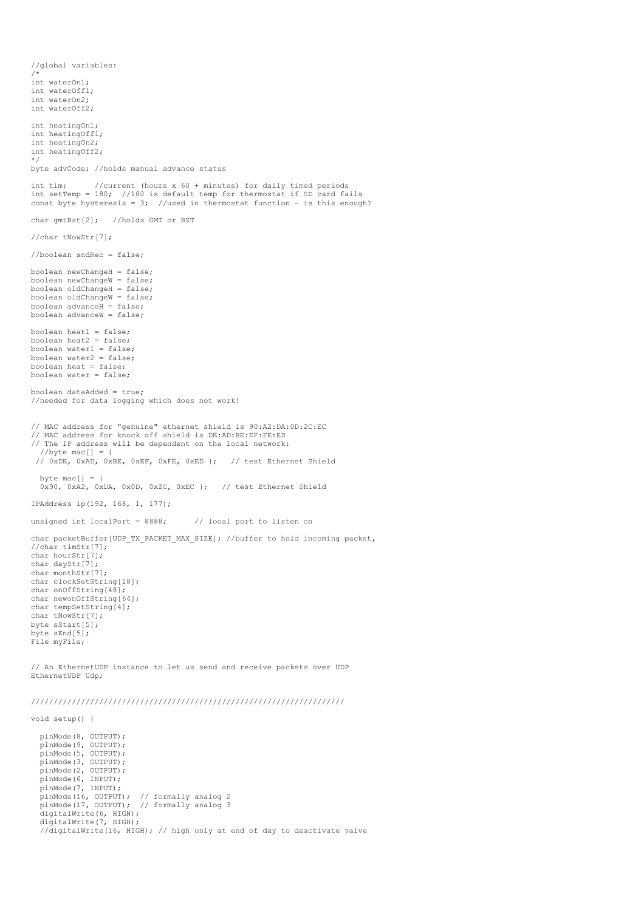//global variables: /\* int waterOn1; int waterOff1; int waterOn2; int waterOff2; int heatingOn1; int heatingOff1; int heatingOn2; int heatingOff2; \*/ byte advCode; //holds manual advance status int tim; //current (hours x 60 + minutes) for daily timed periods int setTemp = 180; //180 is default temp for thermostat if SD card fails const byte hysteresis =  $3$ ; //used in thermostat function - is this enough? char gmtBst[2]; //holds GMT or BST //char tNowStr[7]; //boolean sndRec = false; boolean newChangeH = false; boolean newChangeW = false; boolean oldChangeH = false; boolean oldChangeW = false; boolean advance $H = false$ ; boolean advanceW = false; boolean heat1 = false; boolean heat2 = false; boolean water1 = false; boolean water2 = false; boolean heat = false; boolean water = false; boolean dataAdded = true; //needed for data logging which does not work! // MAC address for "genuine" ethernet shield is 90:A2:DA:0D:2C:EC // MAC address for knock off shield is DE:AD:BE:EF:FE:ED // The IP address will be dependent on the local network:  $//byte$  mac[] = { // 0xDE, 0xAD, 0xBE, 0xEF, 0xFE, 0xED }; // test Ethernet Shield byte mac $[1] = \{$  0x90, 0xA2, 0xDA, 0x0D, 0x2C, 0xEC }; // test Ethernet Shield IPAddress ip(192, 168, 1, 177); unsigned int localPort =  $8888$ ; // local port to listen on char packetBuffer[UDP\_TX\_PACKET\_MAX\_SIZE]; //buffer to hold incoming packet, //char timStr[7]; char hourStr[7]; char dayStr[7]; char monthStr[7]; char clockSetString[18]; char onOffString[48]; char newonOffString[64]; char tempSetString[4]; char tNowStr[7]; byte sStart[5]; byte sEnd[5]; File myFile; // An EthernetUDP instance to let us send and receive packets over UDP

EthernetUDP Udp;

/////////////////////////////////////////////////////////////////////

void setup() {

 pinMode(8, OUTPUT); pinMode(9, OUTPUT); pinMode(5, OUTPUT); pinMode(3, OUTPUT); pinMode(2, OUTPUT); pinMode(6, INPUT); pinMode(7, INPUT); pinMode(16, OUTPUT); // formally analog 2 pinMode(17, OUTPUT); // formally analog 3 digitalWrite(6, HIGH); digitalWrite(7, HIGH); //digitalWrite(16, HIGH); // high only at end of day to deactivate valve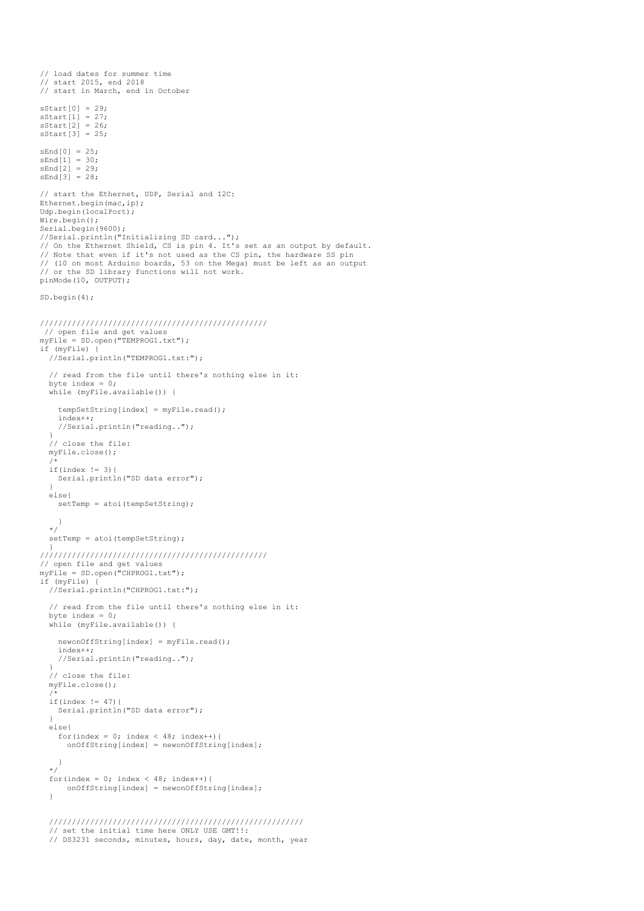```
 // load dates for summer time
   // start 2015, end 2018
   // start in March, end in October
 sStart[0] = 29;
 sStart[1] = 27;
 sStart[2] = 26;
 sStart[3] = 25;sEnd[0] = 25; sEnd[1] = 30;
 sEnd[2] = 29;
 sEnd[3] = 28;
   // start the Ethernet, UDP, Serial and I2C:
  Ethernet.begin(mac,ip);
  Udp.begin(localPort);
  Wire.begin();
 Serial.begin(9600);
 //Serial.println("Initializing SD card...");
 // On the Ethernet Shield, CS is pin 4. It's set as an output by default.
  // Note that even if it's not used as the CS pin, the hardware SS pin
   // (10 on most Arduino boards, 53 on the Mega) must be left as an output 
  // or the SD library functions will not work. 
  pinMode(10, OUTPUT);
  SD.begin(4);
 //////////////////////////////////////////////////
 // open file and get values
 myFile = SD.open("TEMPROG1.txt");
  if (myFile) {
     //Serial.println("TEMPROG1.txt:");
     // read from the file until there's nothing else in it:
     byte index = 0;
     while (myFile.available()) {
       tempSetString[index] = myFile.read();
       index++;
       //Serial.println("reading..");
 }
     // close the file:
     myFile.close();
 /*
 if(index != 3){
       Serial.println("SD data error"); 
 }
     else{
      setTemp = atoi(tempSetString); }
     */
    setTemp = atoi(tempSetString);
 }
 //////////////////////////////////////////////////
   // open file and get values
  myFile = SD.open("CHPROG1.txt");
  if (myFile) {
     //Serial.println("CHPROG1.txt:");
     // read from the file until there's nothing else in it:
     byte index = 0;
     while (myFile.available()) {
       newonOffString[index] = myFile.read();
       index++;
       //Serial.println("reading..");
 }
     // close the file:
     myFile.close();
 /*
    if(intlex != 47) Serial.println("SD data error"); 
 }
     else{
 for(index = 0; index < 48; index++){
 onOffString[index] = newonOffString[index]; 
       }
     */
    for(index = 0; index < 48; index ++){
         \\bestart \\conormalisty\\rightart\rightart\rightart\rightart\rightart\rightart\rightart\rightart\rightart\rightart\rightart\rightart\rightart\rightart\rightart\rightart\rightart\rightart\rightart\rightart\rightart\rightar
     }
     ////////////////////////////////////////////////////////
     // set the initial time here ONLY USE GMT!!:
```

```
 // DS3231 seconds, minutes, hours, day, date, month, year
```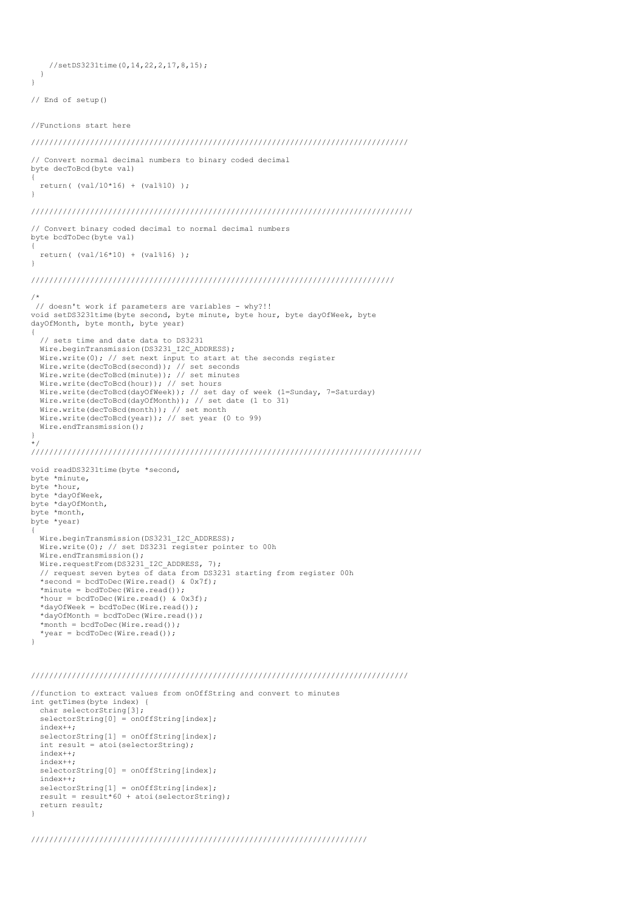//setDS3231time(0,14,22,2,17,8,15); }

```
// End of setup()
```
}

//Functions start here

/////////////////////////////////////////////////////////////////////////////////// // Convert normal decimal numbers to binary coded decimal byte decToBcd(byte val) {  $return($   $(va1/10*16) + (val*10)$  ); } //////////////////////////////////////////////////////////////////////////////////// // Convert binary coded decimal to normal decimal numbers byte bcdToDec(byte val) { return( (val/16\*10) + (val%16) );  $\mathbf{a}$ //////////////////////////////////////////////////////////////////////////////// /\* // doesn't work if parameters are variables - why?!! void setDS3231time(byte second, byte minute, byte hour, byte dayOfWeek, byte dayOfMonth, byte month, byte year) { // sets time and date data to DS3231 Wire.beginTransmission(DS3231\_I2C\_ADDRESS); Wire.write(0); // set next input to start at the seconds register Wire.write(decToBcd(second)); // set seconds Wire.write(decToBcd(minute)); // set minutes Wire.write(decToBcd(hour)); // set hours Wire.write(decToBcd(dayOfWeek)); // set day of week (1=Sunday, 7=Saturday) Wire.write(decToBcd(dayOfMonth)); // set date (1 to 31) Wire.write(decToBcd(month)); // set month Wire.write(decToBcd(year)); // set year (0 to 99) Wire.endTransmission(); } \*/ ////////////////////////////////////////////////////////////////////////////////////// void readDS3231time(byte \*second, byte \*minute, byte \*hour, byte \*dayOfWeek, byte \*dayOfMonth, byte \*month, byte \*year) { Wire.beginTransmission(DS3231\_I2C\_ADDRESS); Wire.write(0); // set DS3231 register pointer to 00h Wire.endTransmission(); Wire.requestFrom(DS3231\_I2C\_ADDRESS, 7); // request seven bytes of data from DS3231 starting from register 00h \*second = bcdToDec(Wire.read() & 0x7f); \*minute = bcdToDec(Wire.read()); \*hour = bcdToDec(Wire.read() &  $0x3f$ ); \*dayOfWeek = bcdToDec(Wire.read()); \*dayOfMonth = bcdToDec(Wire.read()); \*month = bcdToDec(Wire.read()); \*year = bcdToDec(Wire.read()); }

## ///////////////////////////////////////////////////////////////////////////////////

```
//function to extract values from onOffString and convert to minutes
int getTimes(byte index) {
 char selectorString[3];
  selectorString[0] = onOffString[index]; index++;
 selectorString[1] = onOffString[index];
  int result = atoi(selectorString);
  index++;
  index++;
  selectorString[0] = onOffString[index];
 indov++selectorString[1] = onOffString[index];
  result = result*60 + atoi(selectorString);
  return result;
}
```
//////////////////////////////////////////////////////////////////////////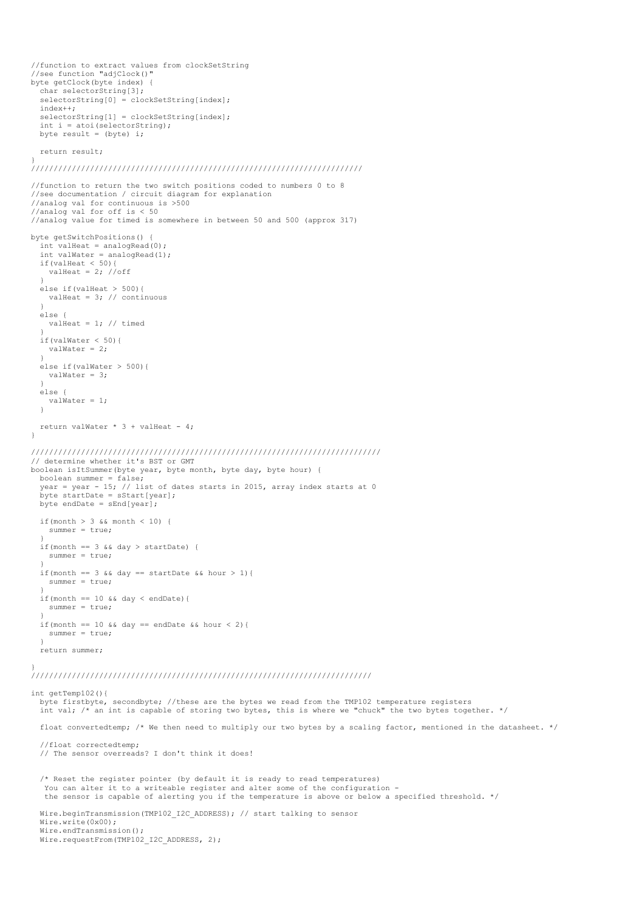```
//function to extract values from clockSetString
//see function "adjClock()"
byte getClock(byte index) {
  char selectorString[3];
  selectorString[0] = clockSetString[index];indov++selectorString[1] = clockSetString[index];
  int i = atoi(selectorString);
 byte result = (byte) i;
  return result;
}
/////////////////////////////////////////////////////////////////////////
//function to return the two switch positions coded to numbers 0 to 8
//see documentation / circuit diagram for explanation
//analog val for continuous is >500
//analog val for off is < 50
//analog value for timed is somewhere in between 50 and 500 (approx 317)
byte getSwitchPositions() {
  int valHeat = analogRead(0);
 int valWater = analogRead(1);
 if(valHeat < 50){
   valHeat = 2; //off
 }
 else if(valHeat > 500){
    valHeat = 3; // continuous
  \lambda else {
   valHeat = 1; // timed
 }
  if(valWater < 50){
   valWater = 2; }
   else if(valWater > 500){
    valWater = 3;
 }
  else {
    valWater = 1;
   }
  return valWater * 3 + valHeat - 4;
}
/////////////////////////////////////////////////////////////////////////////
// determine whether it's BST or GMT
boolean isItSummer(byte year, byte month, byte day, byte hour) {
  boolean summer = false;
  year = year - 15; // list of dates starts in 2015, array index starts at 0
 byte startDate = sStart[year];
 byte endDate = sEnd[year];
 if(month > 3 && month < 10) {
    summer = true;
 }
  if(month == 3 \& day > startDate) {
    summer = true;
 }
 if(month == 3 && day == startDate && hour > 1){
    summer = true;
 }
  if(month == 10 && day < endDate){
    summer = true;
 }
  if(month == 10 && day == endDate && hour < 2){
   \frac{1}{2}summer = true;
   }
  return summer;
}
///////////////////////////////////////////////////////////////////////////
int getTemp102(){
  byte firstbyte, secondbyte; //these are the bytes we read from the TMP102 temperature registers
  int val; \frac{x}{n} an int is capable of storing two bytes, this is where we "chuck" the two bytes together. */
  float convertedtemp; /* We then need to multiply our two bytes by a scaling factor, mentioned in the datasheet. */
   //float correctedtemp; 
   // The sensor overreads? I don't think it does! 
   /* Reset the register pointer (by default it is ready to read temperatures)
  You can alter it to a writeable register and alter some of the configuration -
   the sensor is capable of alerting you if the temperature is above or below a specified threshold. */
 Wire.beginTransmission(TMP102_I2C_ADDRESS); // start talking to sensor
  Wire.write(0x00);
 Wire.endTransmission();
 Wire.requestFrom(TMP102 I2C ADDRESS, 2);
```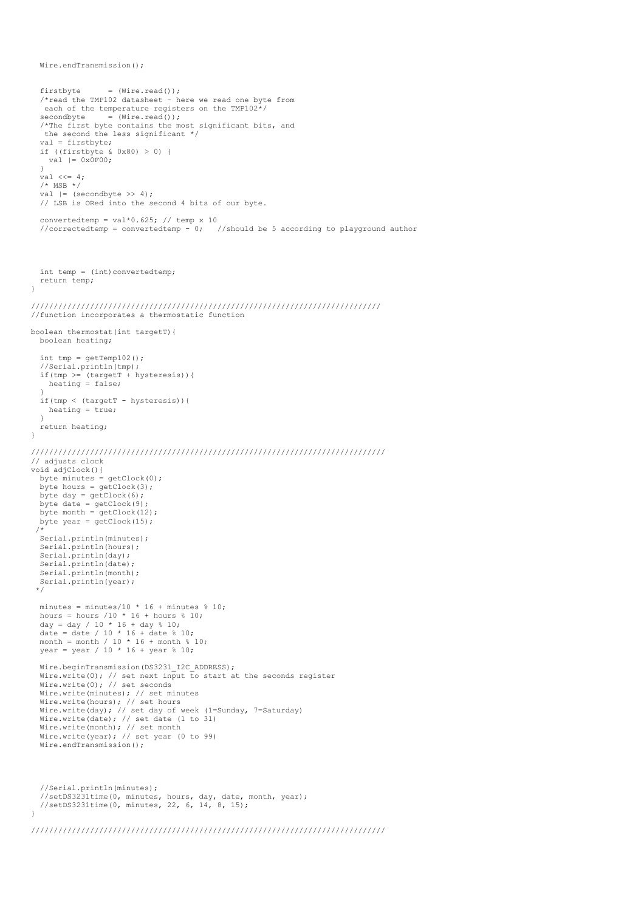```
firstbyte = (Wire.read());
   /*read the TMP102 datasheet - here we read one byte from
    each of the temperature registers on the TMP102*/
  secondbyte = (Wire.read());
 /*The first byte contains the most significant bits, and 
 the second the less significant */
   val = firstbyte;
  if ((firstbyte & 0x80) > 0) {
   val | = 0x0F00; } 
 val <<= 4:
  /* MSB */val | = (secondbyte >> 4);
   // LSB is ORed into the second 4 bits of our byte.
 convertedtemp = val*0.625; // temp x 10
  //correctedtemp = convertedtemp - 0; //should be 5 according to playground author
  int temp = (int)convertedtemp;
  return temp;
}
/////////////////////////////////////////////////////////////////////////////
//function incorporates a thermostatic function
boolean thermostat(int targetT){
  boolean heating;
 int tmp = getTemp102();
   //Serial.println(tmp);
 if(tmp \geq 0 \text{targetT} + hysteresis)) heating = false;
 }
 if(tmp < (targetT - hysteresis)){
    heating = true;
  \overline{1} return heating;
}
//////////////////////////////////////////////////////////////////////////////
// adjusts clock
void adjClock(){
 byte minutes = getClock(0);byte hours = getClock(3);
 byte day = getClock(6);
 byte date = getClock(9);
  byte month = getClock(12);
 byte year = getClock(15);
  /*
 Serial.println(minutes);
   Serial.println(hours);
   Serial.println(day);
 Serial.println(date);
 Serial.println(month);
  Serial.println(year);
  */ 
 minutes = minutes/10 * 16 + minutes * 10;
 hours = hours /10 * 16 + hours % 10; day = day / 10 * 16 + day % 10;
date = date / 10 * 16 + date % 10;<br>month = month / 10 * 16 + month % 10;
 year = year / 10 * 16 + year % 10;
  Wire.beginTransmission(DS3231_I2C_ADDRESS);
 Wire.write(0); // set next input to start at the seconds register
 Wire.write(0); // set seconds
 Wire.write(minutes); // set minutes
 Wire.write(hours); // set hours
 Wire.write(day); // set day of week (1=Sunday, 7=Saturday)
 Wire.write(date); // set date (1 to 31)
 Wire.write(month); // set month
  Wire.write(year); // set year (0 to 99)
 Wire.endTransmission();
   //Serial.println(minutes);
 //setDS3231time(0, minutes, hours, day, date, month, year);
 //setDS3231time(0, minutes, 22, 6, 14, 8, 15);
}
```
Wire.endTransmission();

```
//////////////////////////////////////////////////////////////////////////////
```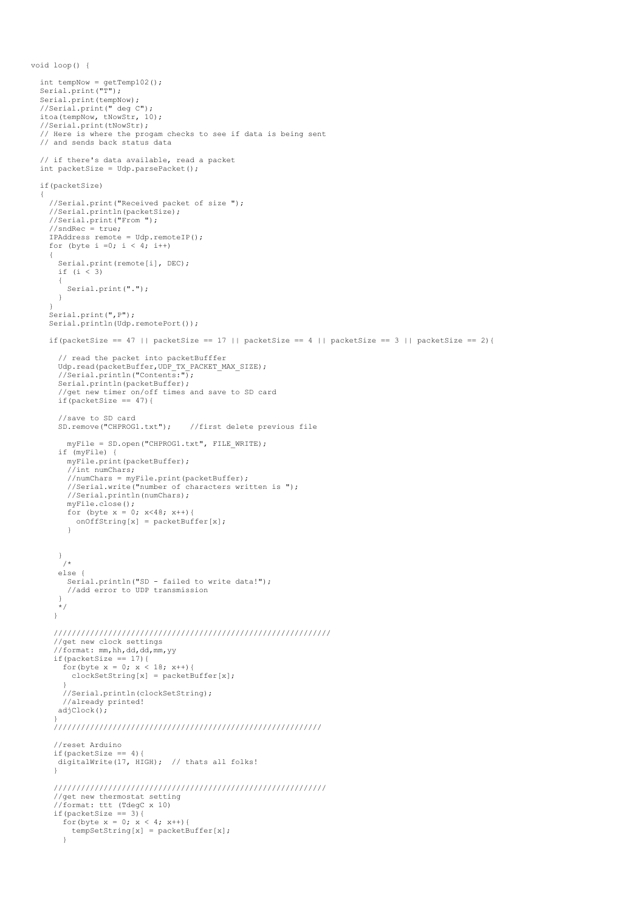```
 int tempNow = getTemp102();
 Serial.print("T");
 Serial.print(tempNow);
 //Serial.print(" deg C");
 itoa(tempNow, tNowStr, 10);
 //Serial.print(tNowStr);
  // Here is where the progam checks to see if data is being sent
  // and sends back status data
  // if there's data available, read a packet
  int packetSize = Udp.parsePacket();
  if(packetSize)
  {
     //Serial.print("Received packet of size ");
 //Serial.println(packetSize);
 //Serial.print("From ");
    //sndRec = true;
 IPAddress remote = Udp.remoteIP();
 for (byte i =0; i < 4; i++)
     {
       Serial.print(remote[i], DEC);
      if (i < 3)
       {
        Serial.print(".");
       }
 }
   Serial.print(", P");
    Serial.println(Udp.remotePort());
   if(packetSize == 47 || packetSize == 17 || packetSize == 4 || packetSize == 3 || packetSize == 2){
       // read the packet into packetBufffer
 Udp.read(packetBuffer,UDP_TX_PACKET_MAX_SIZE);
 //Serial.println("Contents:");
       Serial.println(packetBuffer);
       //get new timer on/off times and save to SD card
      if(packetSize == 47){
      //save to SD card<br>SD.remove("CHPROG1.txt"):
                                     //first delete previous file
        myFile = SD.open("CHPROG1.txt", FILE WRITE);
       if (myFile) {
         myFile.print(packetBuffer);
         //int numChars;
         //numChars = myFile.print(packetBuffer);
         //Serial.write("number of characters written is ");
         //Serial.println(numChars);
         myFile.close();
for (byte x = 0; x < 48; x++) {<br>onOffString[x] = packetBuffer[x];
 }
       }
        /*
       else {
         Serial.println("SD - failed to write data!");
         //add error to UDP transmission
 }
       */
      }
      /////////////////////////////////////////////////////////////
      //get new clock settings 
      //format: mm,hh,dd,dd,mm,yy
     if(packetSize == 17){
for(byte x = 0; x < 18; x++){<br>clockSetString[x] = packetBuffer[x];
 }
        //Serial.println(clockSetString);
        //already printed!
       adjClock(); 
\longrightarrow ///////////////////////////////////////////////////////////
      //reset Arduino
     if(packetSize == 4){
      digitalWrite(17, HIGH); // thats all folks!
 }
      ////////////////////////////////////////////////////////////
 //get new thermostat setting
 //format: ttt (TdegC x 10)
     if(packetSize == 3){
       for (byte x = 0; x < 4; x^{++}) {
       tempSetString[x] = packetBuffer[x];
 }
```
void loop() {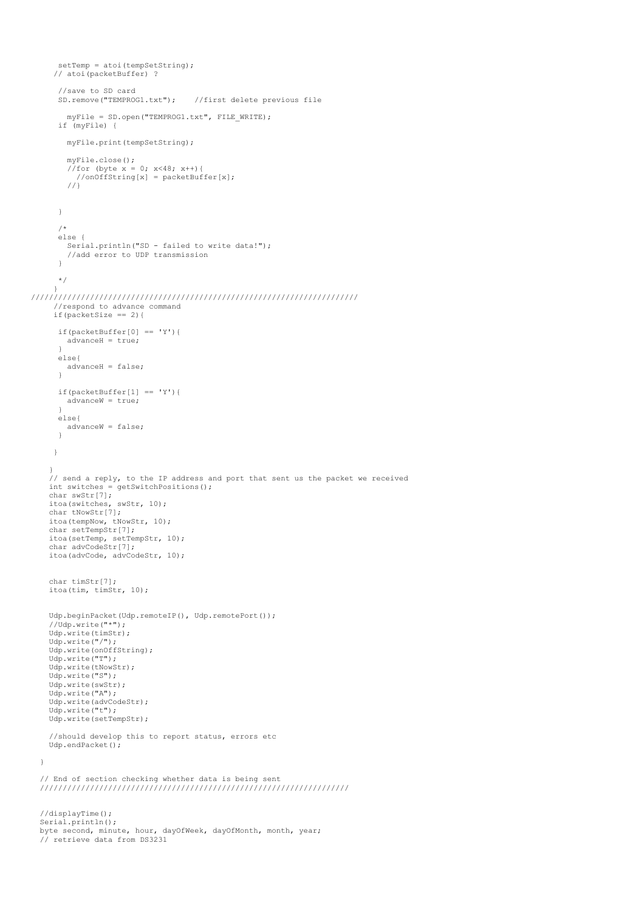```
setTemp = atoi(tempSetString);
      // atoi(packetBuffer) ?
      //save to SD card<br>SD.remove("TEMPROG1.txt");
                                   //first delete previous file
       myFile = SD.open("TEMPROG1.txt", FILE WRITE);
      if (myFile) {
        myFile.print(tempSetString);
 myFile.close();
//for (byte x = 0; x < 48; x++) {<br>//onOffString[x] = packetBuffer[x];
        1/1 } 
       /*
      else {
       Serial.println("SD - failed to write data!");
        //add error to UDP transmission
      \mathbf{r}\binom{*}{} }
////////////////////////////////////////////////////////////////////////
      //respond to advance command
    if(packetSize == 2){
      if(packetBuffer[0] == 'Y')advanceH = true; }
 else{
 advanceH = false;
 }
     if(packetBuffer[1] == 'Y'){
       advanceW = true; }
 else{
 advanceW = false;
 }
     }
 }
    // send a reply, to the IP address and port that sent us the packet we received
    int switches = getSwitchPositions();
 char swStr[7];
 itoa(switches, swStr, 10);
    char tNowStr[7];
    itoa(tempNow, tNowStr, 10);
    char setTempStr[7];
 itoa(setTemp, setTempStr, 10);
 char advCodeStr[7];
    itoa(advCode, advCodeStr, 10);
    char timStr[7];
    itoa(tim, timStr, 10);
    Udp.beginPacket(Udp.remoteIP(), Udp.remotePort());
     //Udp.write("*");
    Udp.write(timStr);
   Udp.write("/");
    Udp.write(onOffString);
    Udp.write("T");
    Udp.write(tNowStr);
    Udp.write("S");
    Udp.write(swStr);
    Udp.write("A");
    Udp.write(advCodeStr);
    Udp.write("t");
    Udp.write(setTempStr);
     //should develop this to report status, errors etc
    Udp.endPacket();
 // End of section checking whether data is being sent
 ////////////////////////////////////////////////////////////////////
  //displayTime();
  Serial.println();
  byte second, minute, hour, dayOfWeek, dayOfMonth, month, year;
```

```
 // retrieve data from DS3231
```
}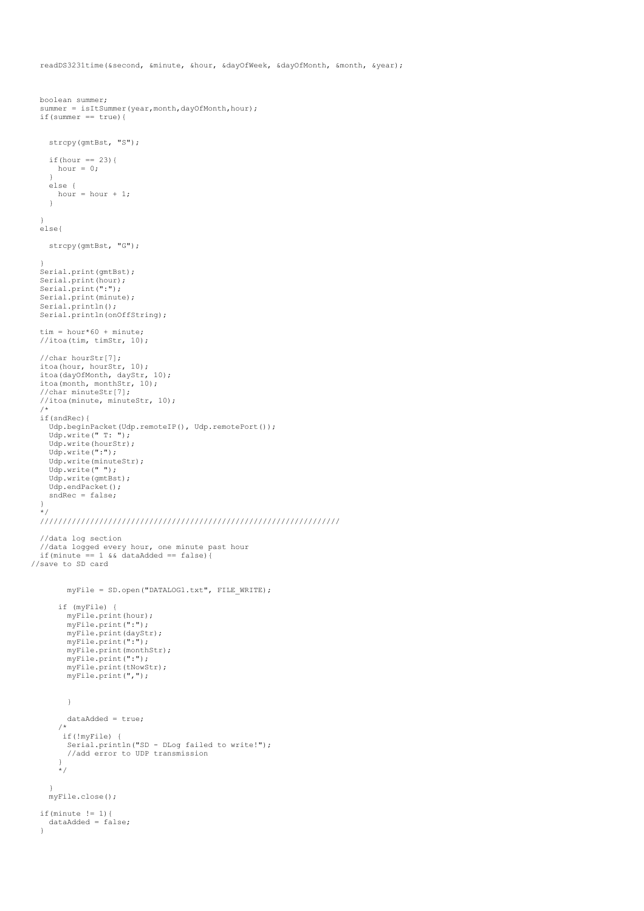readDS3231time(&second, &minute, &hour, &dayOfWeek, &dayOfMonth, &month, &year);

```
 boolean summer;
 summer = isItSummer(year, month, dayOfMonth, hour);
 if(summer == true){
    strcpy(gmtBst, "S");
   if(hour == 23) {
      hour = 0;
 }
    else {
     hour = hour + 1;
     }
  \lambda else{
     strcpy(gmtBst, "G");
 }
  Serial.print(gmtBst);
 Serial.print(hour);
 Serial.print(":");
 Serial.print(minute);
  Serial.println();
 Serial.println(onOffString);
  tim = hour*60 + minute;
  //itoa(tim, timStr, 10);
   //char hourStr[7];
 itoa(hour, hourStr, 10);
 itoa(dayOfMonth, dayStr, 10);
 itoa(month, monthStr, 10);
 //char minuteStr[7];
   //itoa(minute, minuteStr, 10);
 /*
 if(sndRec){
 Udp.beginPacket(Udp.remoteIP(), Udp.remotePort());
 Udp.write(" T: ");
    Udp.write(hourStr);
     Udp.write(":");
    Udp.write(minuteStr);
    Udp.write(" ");
    Udp.write(gmtBst);
    Udp.endPacket();
   sndRec = false; }
 */
 //////////////////////////////////////////////////////////////////
   //data log section
   //data logged every hour, one minute past hour
  if(minute == 1 \&\& dataAdded == false){
//save to SD card
        myFile = SD.open("DATALOG1.txt", FILE WRITE);
       if (myFile) {
         myFile.print(hour);
         myFile.print(":");
         myFile.print(dayStr);
        myFile.print(":");
         myFile.print(monthStr);
         myFile.print(":");
         myFile.print(tNowStr);
         myFile.print(","); 
         }
         dataAdded = true;
       /*
 if(!myFile) {
 Serial.println("SD - DLog failed to write!");
         //add error to UDP transmission
 }
       */
     }
    myFile.close();
  if(minute != 1){
    dataAdded = false;
   }
```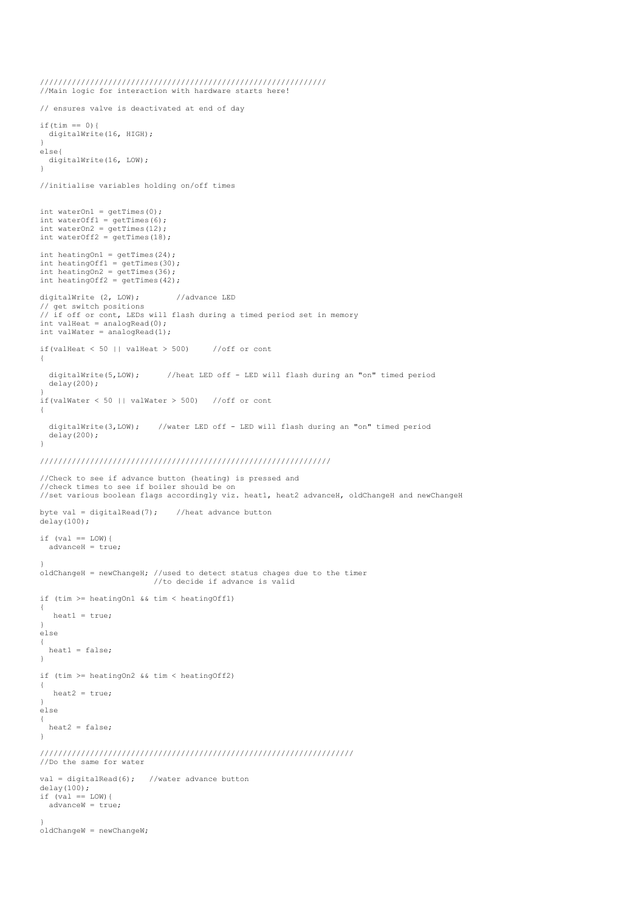```
 ///////////////////////////////////////////////////////////////
  //Main logic for interaction with hardware starts here!
  // ensures valve is deactivated at end of day
 if(tim == 0) {
   digitalWrite(16, HIGH);
 }
  else{
    digitalWrite(16, LOW);
  }
  //initialise variables holding on/off times
 int waterOn1 = getTimes(0);
int waterOff1 = getTimes(6);int waterOn2 = getTimes(12);
 int waterOff2 = getTimes(18);
int heatingOn1 = getTimes(24);<br>int heatingOff1 = getTimes(30);
 int heatingOn2 = getTimes(36);
  int heatingOff2 = getTimes(42);
  digitalWrite (2, LOW); //advance LED
 // get switch positions
 // if off or cont, LEDs will flash during a timed period set in memory
 int valHeat = analogRead(0);
 int valWater = analogRead(1);
 if(valHeat \leq 50 || valHeat > 500) //off or cont
 \{ digitalWrite(5,LOW); //heat LED off - LED will flash during an "on" timed period
    delay(200);
 } 
 if(valWater < 50 || valWater > 500) //off or cont
  {
    digitalWrite(3,LOW); //water LED off - LED will flash during an "on" timed period
    delay(200);
  } 
  ////////////////////////////////////////////////////////////////
  //Check to see if advance button (heating) is pressed and
  //check times to see if boiler should be on
  //set various boolean flags accordingly viz. heat1, heat2 advanceH, oldChangeH and newChangeH
 byte val = digitalRead(7); //heat advance button
  delay(100);
 if (val == LOW) {
   advanceH = true; }
 oldChangeH = newChangeH; //used to detect status chages due to the timer
                              //to decide if advance is valid
  if (tim >= heatingOn1 && tim < heatingOff1)
  { 
     heat1 = true; 
 }
  else
  {
    heat1 = false;
  }
  if (tim >= heatingOn2 && tim < heatingOff2)
  {
     heat2 = true; 
  }
  else
\left( \begin{array}{c} \end{array} \right) heat2 = false;
  }
  ///////////////////////////////////////////////////////////////////// 
  //Do the same for water
 val = diatla]Read(6); //water advance button
 delay(100);
 if (val == LOW){
   advanceW = true; }
 oldChangeW = newChangeW;
```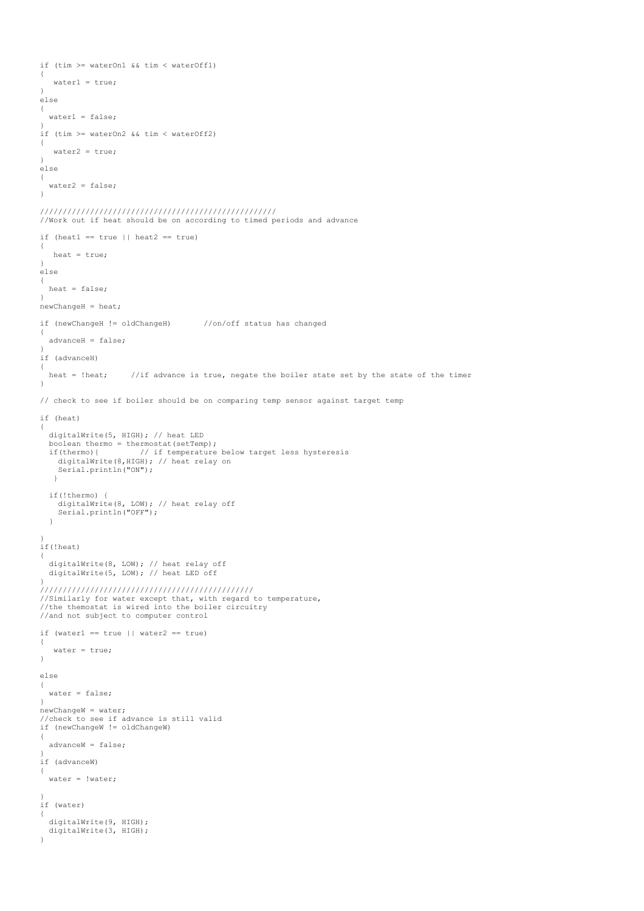```
 if (tim >= waterOn1 && tim < waterOff1)
   {
      water1 = true; 
 }
  else
 {
    water1 = false }
   if (tim >= waterOn2 && tim < waterOff2)
  {
      water2 = true; 
  \lambda else
   {
     water2 = false;
   }
 ////////////////////////////////////////////////////
 //Work out if heat should be on according to timed periods and advance
 if (heat1 == true || heat2 == true)
   {
     heat = true;
  \lambda else
   {
    heat = false;
 }
 newChangeH = heat; if (newChangeH != oldChangeH) //on/off status has changed
\left| \cdot \right| advanceH = false;
 }
  if (advanceH)
\left| \cdot \right| heat = !heat; //if advance is true, negate the boiler state set by the state of the timer
   }
  // check to see if boiler should be on comparing temp sensor against target temp
  if (heat)
   {
     digitalWrite(5, HIGH); // heat LED
    boolean thermo = thermostat(setTemp);<br>if(thermo){ // if temperature
                            // if temperature below target less hysteresis
       digitalWrite(8,HIGH); // heat relay on
      Serial.println("ON");
     \lambda if(!thermo) {
 digitalWrite(8, LOW); // heat relay off
       Serial.println("OFF");
    \mathbf{I} }
 if(!heat)
   {
     digitalWrite(8, LOW); // heat relay off
     digitalWrite(5, LOW); // heat LED off
 } 
 ///////////////////////////////////////////////
 //Similarly for water except that, with regard to temperature, 
 //the themostat is wired into the boiler circuitry
   //and not subject to computer control
 if (water1 == true 11 water2 == true) {
      water = true;
   }
  else
   {
     water = false;
   }
 newChangeW = water; //check to see if advance is still valid
  if (newChangeW != oldChangeW)
\left| \cdot \right| advanceW = false;
 }
   if (advanceW)
   {
     water = !water;
 }
   if (water)
   {
 digitalWrite(9, HIGH);
 digitalWrite(3, HIGH);
  \frac{1}{2}
```